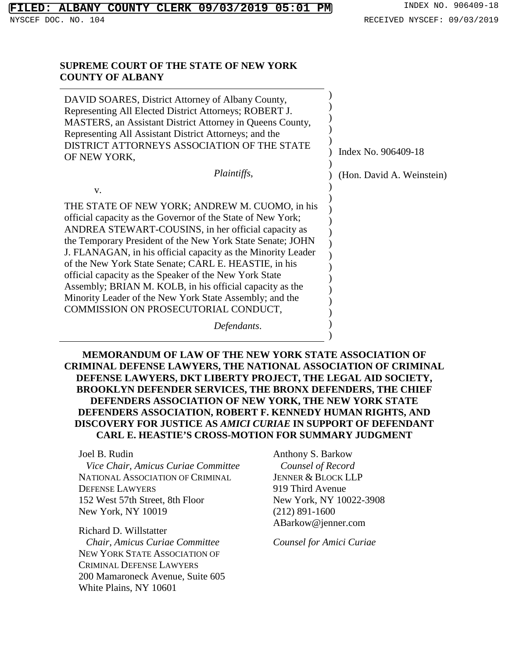## **ALBANY COUNTY CLERK 09/03/2019 05:01 PM** INDEX NO. 906409-18

v.

#### **SUPREME COURT OF THE STATE OF NEW YORK COUNTY OF ALBANY**

DAVID SOARES, District Attorney of Albany County, Representing All Elected District Attorneys; ROBERT J. MASTERS, an Assistant District Attorney in Queens County, Representing All Assistant District Attorneys; and the DISTRICT ATTORNEYS ASSOCIATION OF THE STATE OF NEW YORK, ) ) ) ) )  $\lambda$ ) Index No. 906409-18

*Plaintiffs*,

THE STATE OF NEW YORK; ANDREW M. CUOMO, in his official capacity as the Governor of the State of New York; ANDREA STEWART-COUSINS, in her official capacity as the Temporary President of the New York State Senate; JOHN J. FLANAGAN, in his official capacity as the Minority Leader of the New York State Senate; CARL E. HEASTIE, in his official capacity as the Speaker of the New York State Assembly; BRIAN M. KOLB, in his official capacity as the Minority Leader of the New York State Assembly; and the COMMISSION ON PROSECUTORIAL CONDUCT,

*Defendants*.

**MEMORANDUM OF LAW OF THE NEW YORK STATE ASSOCIATION OF CRIMINAL DEFENSE LAWYERS, THE NATIONAL ASSOCIATION OF CRIMINAL DEFENSE LAWYERS, DKT LIBERTY PROJECT, THE LEGAL AID SOCIETY, BROOKLYN DEFENDER SERVICES, THE BRONX DEFENDERS, THE CHIEF DEFENDERS ASSOCIATION OF NEW YORK, THE NEW YORK STATE DEFENDERS ASSOCIATION, ROBERT F. KENNEDY HUMAN RIGHTS, AND DISCOVERY FOR JUSTICE AS** *AMICI CURIAE* **IN SUPPORT OF DEFENDANT CARL E. HEASTIE'S CROSS-MOTION FOR SUMMARY JUDGMENT**

Joel B. Rudin *Vice Chair, Amicus Curiae Committee* NATIONAL ASSOCIATION OF CRIMINAL DEFENSE LAWYERS 152 West 57th Street, 8th Floor New York, NY 10019

Richard D. Willstatter

*Chair, Amicus Curiae Committee* NEW YORK STATE ASSOCIATION OF CRIMINAL DEFENSE LAWYERS 200 Mamaroneck Avenue, Suite 605 White Plains, NY 10601

Anthony S. Barkow *Counsel of Record* JENNER & BLOCK LLP 919 Third Avenue New York, NY 10022-3908 (212) 891-1600 ABarkow@jenner.com

)  $\lambda$ ) ) ) ) ) ) ) ) ) ) ) ) )

(Hon. David A. Weinstein)

*Counsel for Amici Curiae*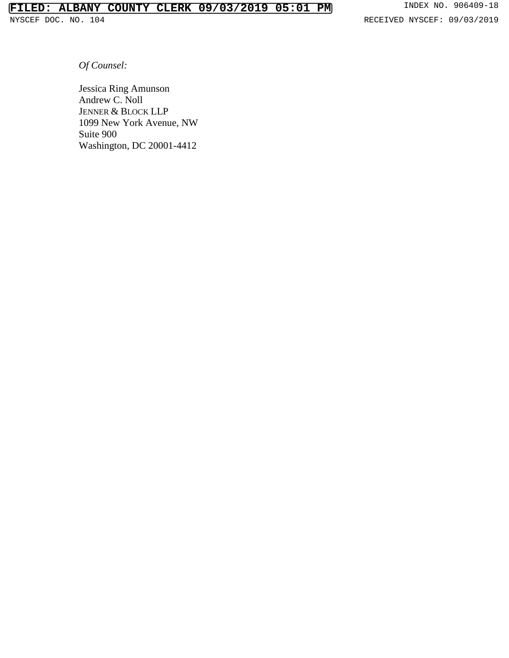RECEIVED NYSCEF: 09/03/2019

*Of Counsel:*

Jessica Ring Amunson Andrew C. Noll JENNER & BLOCK LLP 1099 New York Avenue, NW Suite 900 Washington, DC 20001-4412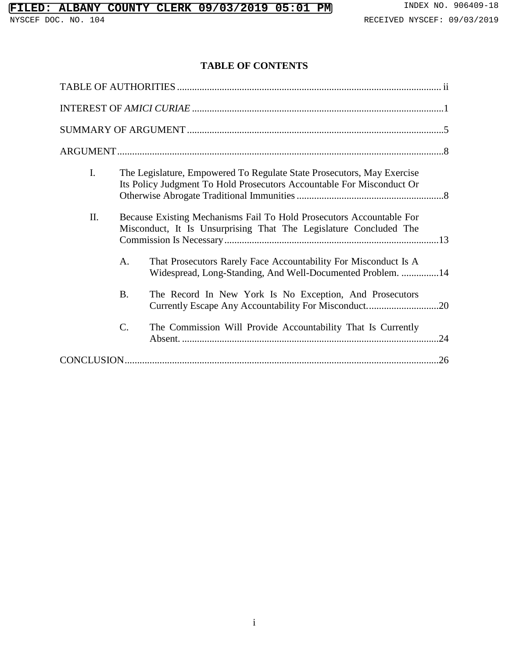### **TABLE OF CONTENTS**

| $\mathbf{I}$ . |    | The Legislature, Empowered To Regulate State Prosecutors, May Exercise<br>Its Policy Judgment To Hold Prosecutors Accountable For Misconduct Or |  |  |  |
|----------------|----|-------------------------------------------------------------------------------------------------------------------------------------------------|--|--|--|
| II.            |    | Because Existing Mechanisms Fail To Hold Prosecutors Accountable For<br>Misconduct, It Is Unsurprising That The Legislature Concluded The       |  |  |  |
|                | A. | That Prosecutors Rarely Face Accountability For Misconduct Is A<br>Widespread, Long-Standing, And Well-Documented Problem. 14                   |  |  |  |
|                | Β. | The Record In New York Is No Exception, And Prosecutors                                                                                         |  |  |  |
|                | C. | The Commission Will Provide Accountability That Is Currently<br>.24                                                                             |  |  |  |
|                |    |                                                                                                                                                 |  |  |  |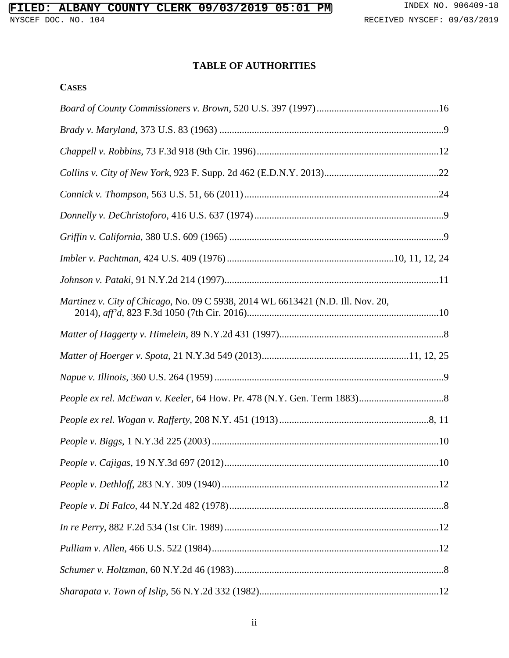## **TABLE OF AUTHORITIES**

| Martinez v. City of Chicago, No. 09 C 5938, 2014 WL 6613421 (N.D. Ill. Nov. 20, |
|---------------------------------------------------------------------------------|
|                                                                                 |
|                                                                                 |
|                                                                                 |
|                                                                                 |
|                                                                                 |
|                                                                                 |
|                                                                                 |
|                                                                                 |
|                                                                                 |
|                                                                                 |
|                                                                                 |
|                                                                                 |
|                                                                                 |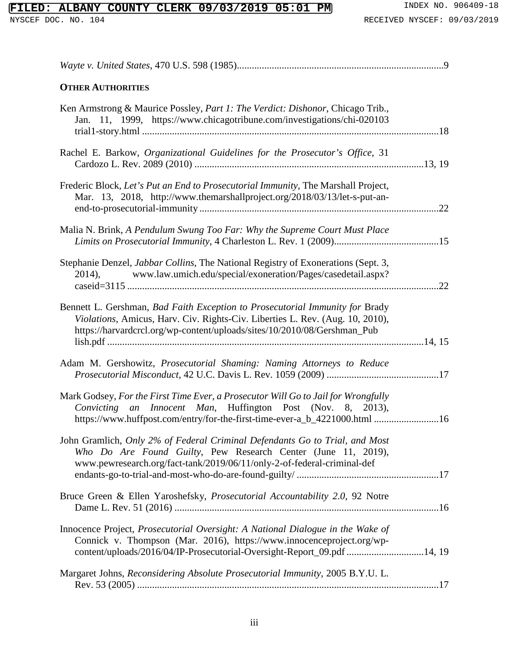## **FILED: ALBANY COUNTY CLERK 09/03/2019 05:01 PM** INDEX NO. 906409-18<br>NYSCEF DOC. NO. 104<br>RECEIVED NYSCEF: 09/03/2019

| <b>OTHER AUTHORITIES</b>                                                                                                                                                                                                                  |  |
|-------------------------------------------------------------------------------------------------------------------------------------------------------------------------------------------------------------------------------------------|--|
| Ken Armstrong & Maurice Possley, Part 1: The Verdict: Dishonor, Chicago Trib.,<br>Jan. 11, 1999, https://www.chicagotribune.com/investigations/chi-020103                                                                                 |  |
| Rachel E. Barkow, Organizational Guidelines for the Prosecutor's Office, 31                                                                                                                                                               |  |
| Frederic Block, Let's Put an End to Prosecutorial Immunity, The Marshall Project,<br>Mar. 13, 2018, http://www.themarshallproject.org/2018/03/13/let-s-put-an-                                                                            |  |
| Malia N. Brink, A Pendulum Swung Too Far: Why the Supreme Court Must Place                                                                                                                                                                |  |
| Stephanie Denzel, Jabbar Collins, The National Registry of Exonerations (Sept. 3,<br>2014), www.law.umich.edu/special/exoneration/Pages/casedetail.aspx?                                                                                  |  |
| Bennett L. Gershman, Bad Faith Exception to Prosecutorial Immunity for Brady<br>Violations, Amicus, Harv. Civ. Rights-Civ. Liberties L. Rev. (Aug. 10, 2010),<br>https://harvardcrcl.org/wp-content/uploads/sites/10/2010/08/Gershman_Pub |  |
| Adam M. Gershowitz, Prosecutorial Shaming: Naming Attorneys to Reduce                                                                                                                                                                     |  |
| Mark Godsey, For the First Time Ever, a Prosecutor Will Go to Jail for Wrongfully<br>Convicting an Innocent Man, Huffington Post (Nov. 8, 2013),<br>https://www.huffpost.com/entry/for-the-first-time-ever-a_b_4221000.html 16            |  |
| John Gramlich, Only 2% of Federal Criminal Defendants Go to Trial, and Most<br>Who Do Are Found Guilty, Pew Research Center (June 11, 2019),<br>www.pewresearch.org/fact-tank/2019/06/11/only-2-of-federal-criminal-def                   |  |
| Bruce Green & Ellen Yaroshefsky, Prosecutorial Accountability 2.0, 92 Notre                                                                                                                                                               |  |
| Innocence Project, Prosecutorial Oversight: A National Dialogue in the Wake of<br>Connick v. Thompson (Mar. 2016), https://www.innocenceproject.org/wp-<br>content/uploads/2016/04/IP-Prosecutorial-Oversight-Report_09.pdf 14, 19        |  |
| Margaret Johns, Reconsidering Absolute Prosecutorial Immunity, 2005 B.Y.U. L.                                                                                                                                                             |  |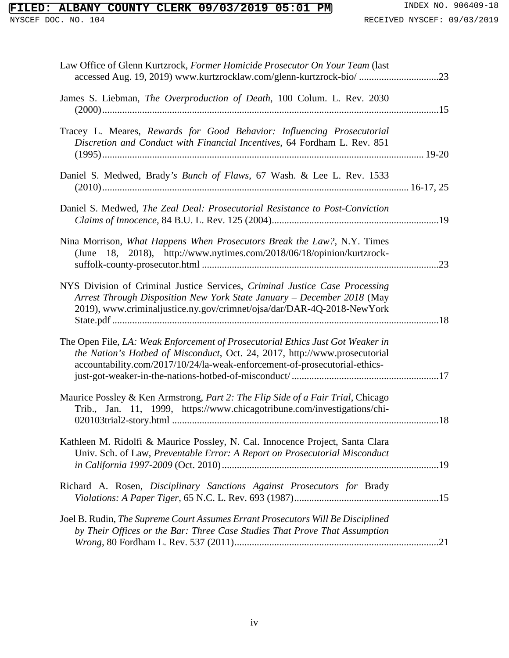# **FILED: ALBANY COUNTY CLERK 09/03/2019 05:01 PM** INDEX NO. 906409-18<br>NYSCEF DOC. NO. 104<br>RECEIVED NYSCEF: 09/03/2019

| Law Office of Glenn Kurtzrock, Former Homicide Prosecutor On Your Team (last<br>accessed Aug. 19, 2019) www.kurtzrocklaw.com/glenn-kurtzrock-bio/ 23                                                                                       |  |
|--------------------------------------------------------------------------------------------------------------------------------------------------------------------------------------------------------------------------------------------|--|
| James S. Liebman, The Overproduction of Death, 100 Colum. L. Rev. 2030                                                                                                                                                                     |  |
| Tracey L. Meares, Rewards for Good Behavior: Influencing Prosecutorial<br>Discretion and Conduct with Financial Incentives, 64 Fordham L. Rev. 851                                                                                         |  |
| Daniel S. Medwed, Brady's Bunch of Flaws, 67 Wash. & Lee L. Rev. 1533                                                                                                                                                                      |  |
| Daniel S. Medwed, <i>The Zeal Deal: Prosecutorial Resistance to Post-Conviction</i>                                                                                                                                                        |  |
| Nina Morrison, What Happens When Prosecutors Break the Law?, N.Y. Times<br>(June 18, 2018), http://www.nytimes.com/2018/06/18/opinion/kurtzrock-                                                                                           |  |
| NYS Division of Criminal Justice Services, Criminal Justice Case Processing<br>Arrest Through Disposition New York State January - December 2018 (May<br>2019), www.criminaljustice.ny.gov/crimnet/ojsa/dar/DAR-4Q-2018-NewYork            |  |
| The Open File, LA: Weak Enforcement of Prosecutorial Ethics Just Got Weaker in<br>the Nation's Hotbed of Misconduct, Oct. 24, 2017, http://www.prosecutorial<br>accountability.com/2017/10/24/la-weak-enforcement-of-prosecutorial-ethics- |  |
| Maurice Possley & Ken Armstrong, Part 2: The Flip Side of a Fair Trial, Chicago<br>Trib., Jan. 11, 1999, https://www.chicagotribune.com/investigations/chi-                                                                                |  |
| Kathleen M. Ridolfi & Maurice Possley, N. Cal. Innocence Project, Santa Clara<br>Univ. Sch. of Law, Preventable Error: A Report on Prosecutorial Misconduct                                                                                |  |
| Richard A. Rosen, Disciplinary Sanctions Against Prosecutors for Brady                                                                                                                                                                     |  |
| Joel B. Rudin, The Supreme Court Assumes Errant Prosecutors Will Be Disciplined<br>by Their Offices or the Bar: Three Case Studies That Prove That Assumption                                                                              |  |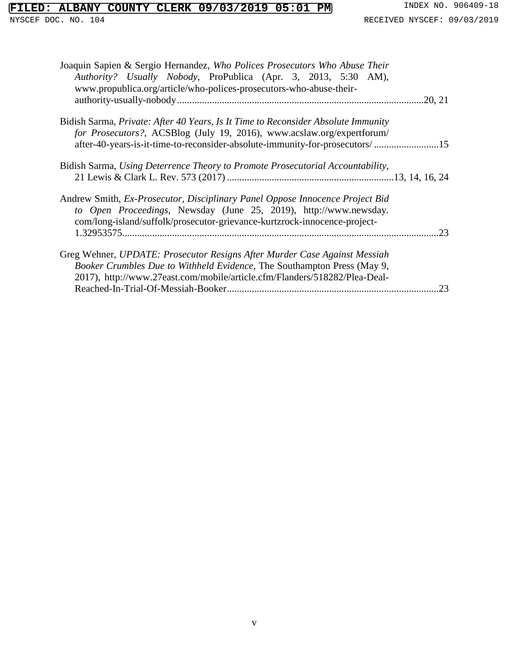## **FILED: ALBANY COUNTY CLERK 09/03/2019 05:01 PM** INDEX NO. 906409-18<br>NYSCEF DOC. NO. 104<br>RECEIVED NYSCEF: 09/03/2019

| Joaquin Sapien & Sergio Hernandez, Who Polices Prosecutors Who Abuse Their<br>Authority? Usually Nobody, ProPublica (Apr. 3, 2013, 5:30 AM),<br>www.propublica.org/article/who-polices-prosecutors-who-abuse-their-                         |         |
|---------------------------------------------------------------------------------------------------------------------------------------------------------------------------------------------------------------------------------------------|---------|
|                                                                                                                                                                                                                                             | .20, 21 |
| Bidish Sarma, Private: After 40 Years, Is It Time to Reconsider Absolute Immunity<br>for Prosecutors?, ACSBlog (July 19, 2016), www.acslaw.org/expertforum/<br>after-40-years-is-it-time-to-reconsider-absolute-immunity-for-prosecutors/15 |         |
| Bidish Sarma, Using Deterrence Theory to Promote Prosecutorial Accountability,                                                                                                                                                              |         |
| Andrew Smith, Ex-Prosecutor, Disciplinary Panel Oppose Innocence Project Bid<br>to Open Proceedings, Newsday (June 25, 2019), http://www.newsday.<br>com/long-island/suffolk/prosecutor-grievance-kurtzrock-innocence-project-              | 23      |
| Greg Wehner, UPDATE: Prosecutor Resigns After Murder Case Against Messiah<br>Booker Crumbles Due to Withheld Evidence, The Southampton Press (May 9,<br>2017), http://www.27east.com/mobile/article.cfm/Flanders/518282/Plea-Deal-          |         |
|                                                                                                                                                                                                                                             | 23      |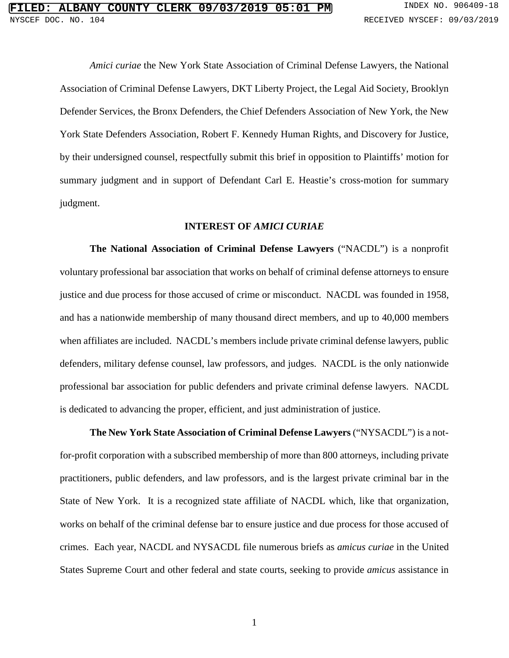*Amici curiae* the New York State Association of Criminal Defense Lawyers, the National Association of Criminal Defense Lawyers, DKT Liberty Project, the Legal Aid Society, Brooklyn Defender Services, the Bronx Defenders, the Chief Defenders Association of New York, the New York State Defenders Association, Robert F. Kennedy Human Rights, and Discovery for Justice, by their undersigned counsel, respectfully submit this brief in opposition to Plaintiffs' motion for summary judgment and in support of Defendant Carl E. Heastie's cross-motion for summary judgment.

#### **INTEREST OF** *AMICI CURIAE*

**The National Association of Criminal Defense Lawyers** ("NACDL") is a nonprofit voluntary professional bar association that works on behalf of criminal defense attorneys to ensure justice and due process for those accused of crime or misconduct. NACDL was founded in 1958, and has a nationwide membership of many thousand direct members, and up to 40,000 members when affiliates are included. NACDL's members include private criminal defense lawyers, public defenders, military defense counsel, law professors, and judges. NACDL is the only nationwide professional bar association for public defenders and private criminal defense lawyers. NACDL is dedicated to advancing the proper, efficient, and just administration of justice.

**The New York State Association of Criminal Defense Lawyers** ("NYSACDL") is a notfor-profit corporation with a subscribed membership of more than 800 attorneys, including private practitioners, public defenders, and law professors, and is the largest private criminal bar in the State of New York. It is a recognized state affiliate of NACDL which, like that organization, works on behalf of the criminal defense bar to ensure justice and due process for those accused of crimes. Each year, NACDL and NYSACDL file numerous briefs as *amicus curiae* in the United States Supreme Court and other federal and state courts, seeking to provide *amicus* assistance in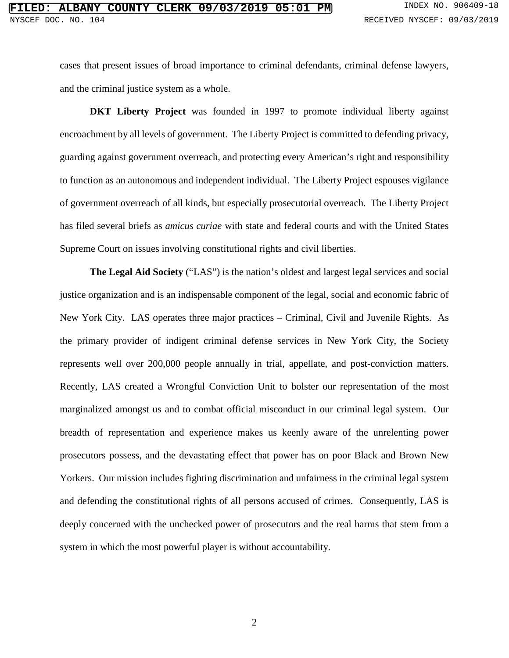cases that present issues of broad importance to criminal defendants, criminal defense lawyers, and the criminal justice system as a whole.

**DKT Liberty Project** was founded in 1997 to promote individual liberty against encroachment by all levels of government. The Liberty Project is committed to defending privacy, guarding against government overreach, and protecting every American's right and responsibility to function as an autonomous and independent individual. The Liberty Project espouses vigilance of government overreach of all kinds, but especially prosecutorial overreach. The Liberty Project has filed several briefs as *amicus curiae* with state and federal courts and with the United States Supreme Court on issues involving constitutional rights and civil liberties.

**The Legal Aid Society** ("LAS") is the nation's oldest and largest legal services and social justice organization and is an indispensable component of the legal, social and economic fabric of New York City. LAS operates three major practices – Criminal, Civil and Juvenile Rights. As the primary provider of indigent criminal defense services in New York City, the Society represents well over 200,000 people annually in trial, appellate, and post-conviction matters. Recently, LAS created a Wrongful Conviction Unit to bolster our representation of the most marginalized amongst us and to combat official misconduct in our criminal legal system. Our breadth of representation and experience makes us keenly aware of the unrelenting power prosecutors possess, and the devastating effect that power has on poor Black and Brown New Yorkers. Our mission includes fighting discrimination and unfairness in the criminal legal system and defending the constitutional rights of all persons accused of crimes. Consequently, LAS is deeply concerned with the unchecked power of prosecutors and the real harms that stem from a system in which the most powerful player is without accountability.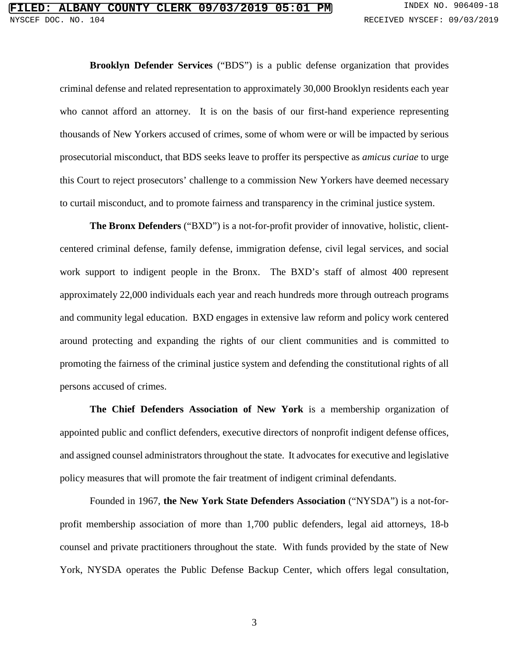**Brooklyn Defender Services** ("BDS") is a public defense organization that provides criminal defense and related representation to approximately 30,000 Brooklyn residents each year who cannot afford an attorney. It is on the basis of our first-hand experience representing thousands of New Yorkers accused of crimes, some of whom were or will be impacted by serious prosecutorial misconduct, that BDS seeks leave to proffer its perspective as *amicus curiae* to urge this Court to reject prosecutors' challenge to a commission New Yorkers have deemed necessary to curtail misconduct, and to promote fairness and transparency in the criminal justice system.

**The Bronx Defenders** ("BXD") is a not-for-profit provider of innovative, holistic, clientcentered criminal defense, family defense, immigration defense, civil legal services, and social work support to indigent people in the Bronx. The BXD's staff of almost 400 represent approximately 22,000 individuals each year and reach hundreds more through outreach programs and community legal education. BXD engages in extensive law reform and policy work centered around protecting and expanding the rights of our client communities and is committed to promoting the fairness of the criminal justice system and defending the constitutional rights of all persons accused of crimes.

**The Chief Defenders Association of New York** is a membership organization of appointed public and conflict defenders, executive directors of nonprofit indigent defense offices, and assigned counsel administrators throughout the state. It advocates for executive and legislative policy measures that will promote the fair treatment of indigent criminal defendants.

Founded in 1967, **the New York State Defenders Association** ("NYSDA") is a not-forprofit membership association of more than 1,700 public defenders, legal aid attorneys, 18-b counsel and private practitioners throughout the state. With funds provided by the state of New York, NYSDA operates the Public Defense Backup Center, which offers legal consultation,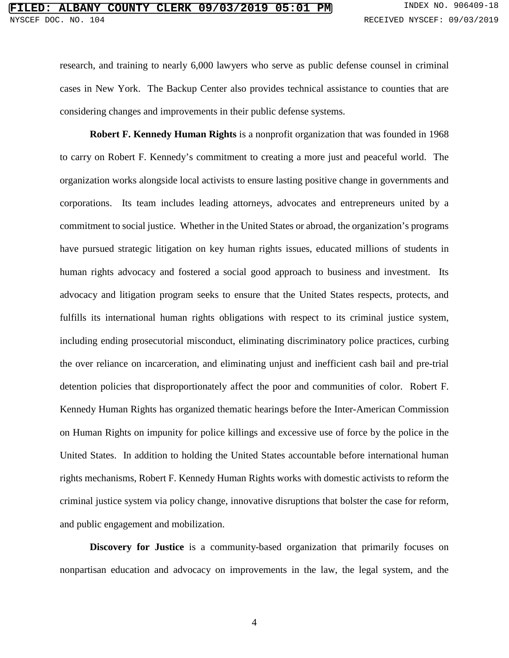research, and training to nearly 6,000 lawyers who serve as public defense counsel in criminal cases in New York. The Backup Center also provides technical assistance to counties that are considering changes and improvements in their public defense systems.

**Robert F. Kennedy Human Rights** is a nonprofit organization that was founded in 1968 to carry on Robert F. Kennedy's commitment to creating a more just and peaceful world. The organization works alongside local activists to ensure lasting positive change in governments and corporations. Its team includes leading attorneys, advocates and entrepreneurs united by a commitment to social justice. Whether in the United States or abroad, the organization's programs have pursued strategic litigation on key human rights issues, educated millions of students in human rights advocacy and fostered a social good approach to business and investment. Its advocacy and litigation program seeks to ensure that the United States respects, protects, and fulfills its international human rights obligations with respect to its criminal justice system, including ending prosecutorial misconduct, eliminating discriminatory police practices, curbing the over reliance on incarceration, and eliminating unjust and inefficient cash bail and pre-trial detention policies that disproportionately affect the poor and communities of color. Robert F. Kennedy Human Rights has organized thematic hearings before the Inter-American Commission on Human Rights on impunity for police killings and excessive use of force by the police in the United States. In addition to holding the United States accountable before international human rights mechanisms, Robert F. Kennedy Human Rights works with domestic activists to reform the criminal justice system via policy change, innovative disruptions that bolster the case for reform, and public engagement and mobilization.

**Discovery for Justice** is a community-based organization that primarily focuses on nonpartisan education and advocacy on improvements in the law, the legal system, and the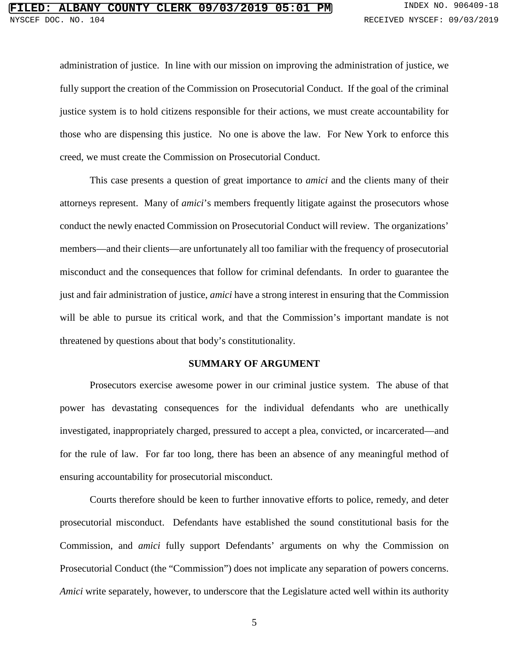administration of justice. In line with our mission on improving the administration of justice, we fully support the creation of the Commission on Prosecutorial Conduct. If the goal of the criminal justice system is to hold citizens responsible for their actions, we must create accountability for those who are dispensing this justice. No one is above the law. For New York to enforce this creed, we must create the Commission on Prosecutorial Conduct.

This case presents a question of great importance to *amici* and the clients many of their attorneys represent. Many of *amici*'s members frequently litigate against the prosecutors whose conduct the newly enacted Commission on Prosecutorial Conduct will review. The organizations' members—and their clients—are unfortunately all too familiar with the frequency of prosecutorial misconduct and the consequences that follow for criminal defendants. In order to guarantee the just and fair administration of justice, *amici* have a strong interest in ensuring that the Commission will be able to pursue its critical work, and that the Commission's important mandate is not threatened by questions about that body's constitutionality.

#### **SUMMARY OF ARGUMENT**

Prosecutors exercise awesome power in our criminal justice system. The abuse of that power has devastating consequences for the individual defendants who are unethically investigated, inappropriately charged, pressured to accept a plea, convicted, or incarcerated—and for the rule of law. For far too long, there has been an absence of any meaningful method of ensuring accountability for prosecutorial misconduct.

Courts therefore should be keen to further innovative efforts to police, remedy, and deter prosecutorial misconduct. Defendants have established the sound constitutional basis for the Commission, and *amici* fully support Defendants' arguments on why the Commission on Prosecutorial Conduct (the "Commission") does not implicate any separation of powers concerns. *Amici* write separately, however, to underscore that the Legislature acted well within its authority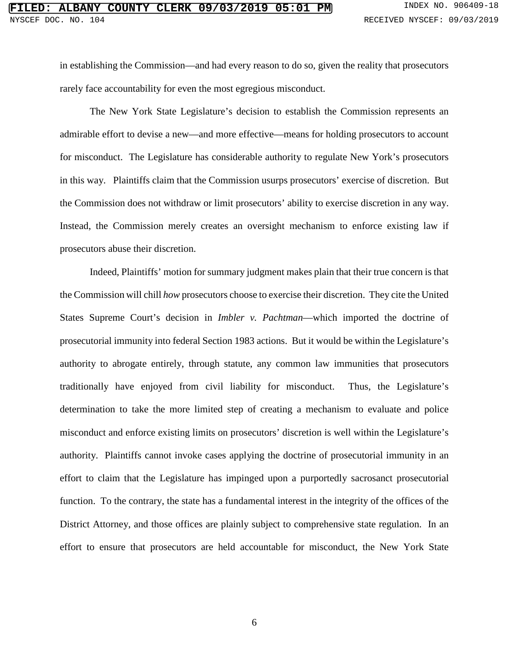in establishing the Commission—and had every reason to do so, given the reality that prosecutors rarely face accountability for even the most egregious misconduct.

The New York State Legislature's decision to establish the Commission represents an admirable effort to devise a new—and more effective—means for holding prosecutors to account for misconduct. The Legislature has considerable authority to regulate New York's prosecutors in this way. Plaintiffs claim that the Commission usurps prosecutors' exercise of discretion. But the Commission does not withdraw or limit prosecutors' ability to exercise discretion in any way. Instead, the Commission merely creates an oversight mechanism to enforce existing law if prosecutors abuse their discretion.

Indeed, Plaintiffs' motion for summary judgment makes plain that their true concern is that the Commission will chill *how* prosecutors choose to exercise their discretion. They cite the United States Supreme Court's decision in *Imbler v. Pachtman*—which imported the doctrine of prosecutorial immunity into federal Section 1983 actions. But it would be within the Legislature's authority to abrogate entirely, through statute, any common law immunities that prosecutors traditionally have enjoyed from civil liability for misconduct. Thus, the Legislature's determination to take the more limited step of creating a mechanism to evaluate and police misconduct and enforce existing limits on prosecutors' discretion is well within the Legislature's authority. Plaintiffs cannot invoke cases applying the doctrine of prosecutorial immunity in an effort to claim that the Legislature has impinged upon a purportedly sacrosanct prosecutorial function. To the contrary, the state has a fundamental interest in the integrity of the offices of the District Attorney, and those offices are plainly subject to comprehensive state regulation. In an effort to ensure that prosecutors are held accountable for misconduct, the New York State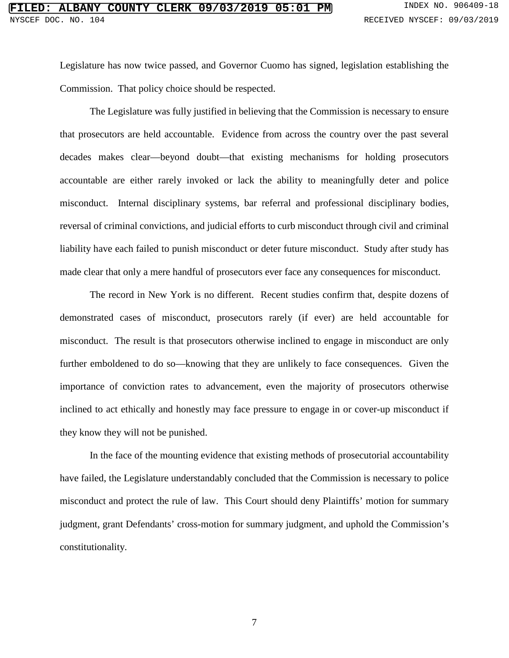Legislature has now twice passed, and Governor Cuomo has signed, legislation establishing the Commission. That policy choice should be respected.

The Legislature was fully justified in believing that the Commission is necessary to ensure that prosecutors are held accountable. Evidence from across the country over the past several decades makes clear—beyond doubt—that existing mechanisms for holding prosecutors accountable are either rarely invoked or lack the ability to meaningfully deter and police misconduct. Internal disciplinary systems, bar referral and professional disciplinary bodies, reversal of criminal convictions, and judicial efforts to curb misconduct through civil and criminal liability have each failed to punish misconduct or deter future misconduct. Study after study has made clear that only a mere handful of prosecutors ever face any consequences for misconduct.

The record in New York is no different. Recent studies confirm that, despite dozens of demonstrated cases of misconduct, prosecutors rarely (if ever) are held accountable for misconduct. The result is that prosecutors otherwise inclined to engage in misconduct are only further emboldened to do so—knowing that they are unlikely to face consequences. Given the importance of conviction rates to advancement, even the majority of prosecutors otherwise inclined to act ethically and honestly may face pressure to engage in or cover-up misconduct if they know they will not be punished.

In the face of the mounting evidence that existing methods of prosecutorial accountability have failed, the Legislature understandably concluded that the Commission is necessary to police misconduct and protect the rule of law. This Court should deny Plaintiffs' motion for summary judgment, grant Defendants' cross-motion for summary judgment, and uphold the Commission's constitutionality.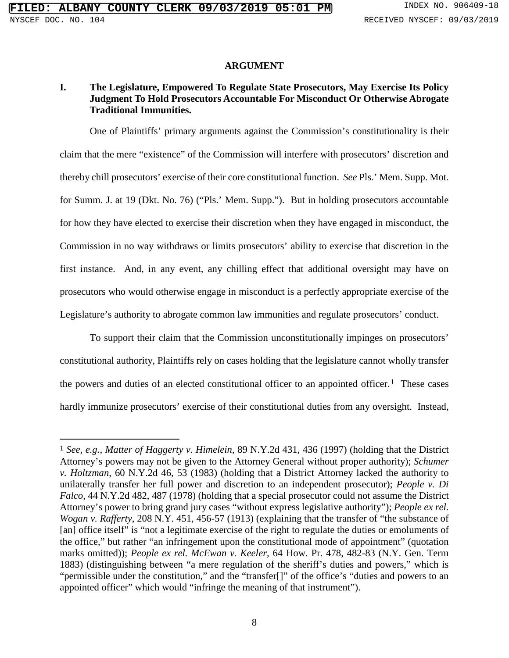#### **ARGUMENT**

#### **I. The Legislature, Empowered To Regulate State Prosecutors, May Exercise Its Policy Judgment To Hold Prosecutors Accountable For Misconduct Or Otherwise Abrogate Traditional Immunities.**

One of Plaintiffs' primary arguments against the Commission's constitutionality is their claim that the mere "existence" of the Commission will interfere with prosecutors' discretion and thereby chill prosecutors' exercise of their core constitutional function. *See* Pls.' Mem. Supp. Mot. for Summ. J. at 19 (Dkt. No. 76) ("Pls.' Mem. Supp."). But in holding prosecutors accountable for how they have elected to exercise their discretion when they have engaged in misconduct, the Commission in no way withdraws or limits prosecutors' ability to exercise that discretion in the first instance. And, in any event, any chilling effect that additional oversight may have on prosecutors who would otherwise engage in misconduct is a perfectly appropriate exercise of the Legislature's authority to abrogate common law immunities and regulate prosecutors' conduct.

To support their claim that the Commission unconstitutionally impinges on prosecutors' constitutional authority, Plaintiffs rely on cases holding that the legislature cannot wholly transfer the powers and duties of an elected constitutional officer to an appointed officer.<sup>1</sup> These cases hardly immunize prosecutors' exercise of their constitutional duties from any oversight. Instead,

<span id="page-14-0"></span> <sup>1</sup> *See, e.g.*, *Matter of Haggerty v. Himelein*, 89 N.Y.2d 431, 436 (1997) (holding that the District Attorney's powers may not be given to the Attorney General without proper authority); *Schumer v. Holtzman*, 60 N.Y.2d 46, 53 (1983) (holding that a District Attorney lacked the authority to unilaterally transfer her full power and discretion to an independent prosecutor); *People v. Di Falco*, 44 N.Y.2d 482, 487 (1978) (holding that a special prosecutor could not assume the District Attorney's power to bring grand jury cases "without express legislative authority"); *People ex rel. Wogan v. Rafferty*, 208 N.Y. 451, 456-57 (1913) (explaining that the transfer of "the substance of [an] office itself" is "not a legitimate exercise of the right to regulate the duties or emoluments of the office," but rather "an infringement upon the constitutional mode of appointment" (quotation marks omitted)); *People ex rel. McEwan v. Keeler*, 64 How. Pr. 478, 482-83 (N.Y. Gen. Term 1883) (distinguishing between "a mere regulation of the sheriff's duties and powers," which is "permissible under the constitution," and the "transfer[]" of the office's "duties and powers to an appointed officer" which would "infringe the meaning of that instrument").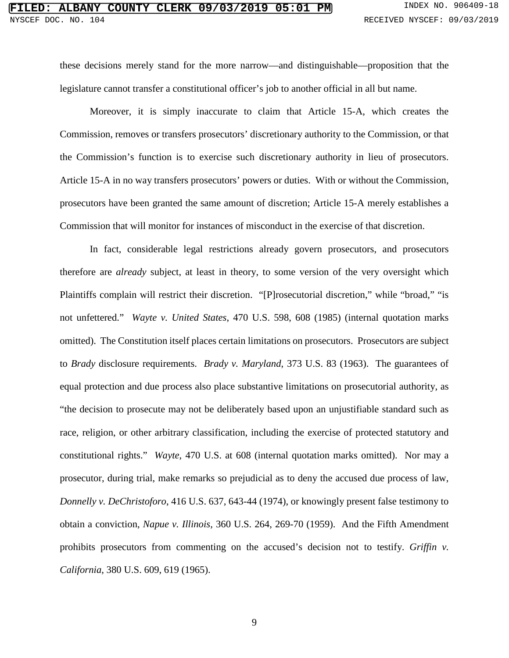these decisions merely stand for the more narrow—and distinguishable—proposition that the legislature cannot transfer a constitutional officer's job to another official in all but name.

Moreover, it is simply inaccurate to claim that Article 15-A, which creates the Commission, removes or transfers prosecutors' discretionary authority to the Commission, or that the Commission's function is to exercise such discretionary authority in lieu of prosecutors. Article 15-A in no way transfers prosecutors' powers or duties. With or without the Commission, prosecutors have been granted the same amount of discretion; Article 15-A merely establishes a Commission that will monitor for instances of misconduct in the exercise of that discretion.

In fact, considerable legal restrictions already govern prosecutors, and prosecutors therefore are *already* subject, at least in theory, to some version of the very oversight which Plaintiffs complain will restrict their discretion. "[P]rosecutorial discretion," while "broad," "is not unfettered." *Wayte v. United States*, 470 U.S. 598, 608 (1985) (internal quotation marks omitted). The Constitution itself places certain limitations on prosecutors. Prosecutors are subject to *Brady* disclosure requirements. *Brady v. Maryland*, 373 U.S. 83 (1963). The guarantees of equal protection and due process also place substantive limitations on prosecutorial authority, as "the decision to prosecute may not be deliberately based upon an unjustifiable standard such as race, religion, or other arbitrary classification, including the exercise of protected statutory and constitutional rights." *Wayte*, 470 U.S. at 608 (internal quotation marks omitted). Nor may a prosecutor, during trial, make remarks so prejudicial as to deny the accused due process of law, *Donnelly v. DeChristoforo*, 416 U.S. 637, 643-44 (1974), or knowingly present false testimony to obtain a conviction, *Napue v. Illinois*, 360 U.S. 264, 269-70 (1959). And the Fifth Amendment prohibits prosecutors from commenting on the accused's decision not to testify. *Griffin v. California*, 380 U.S. 609, 619 (1965).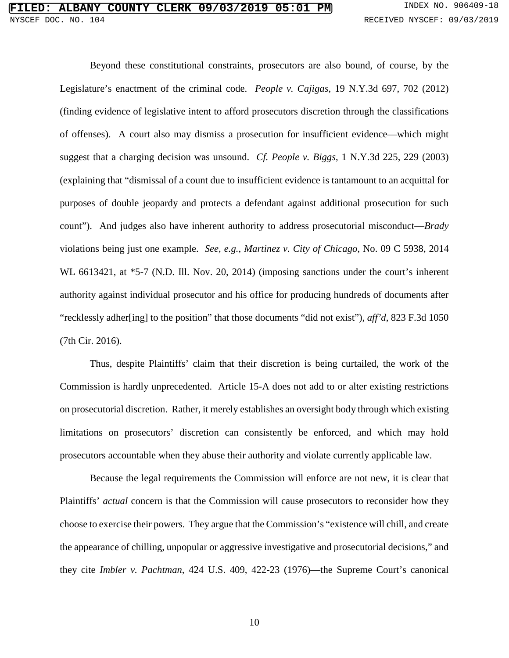Beyond these constitutional constraints, prosecutors are also bound, of course, by the Legislature's enactment of the criminal code. *People v. Cajigas*, 19 N.Y.3d 697, 702 (2012) (finding evidence of legislative intent to afford prosecutors discretion through the classifications of offenses). A court also may dismiss a prosecution for insufficient evidence—which might suggest that a charging decision was unsound. *Cf. People v. Biggs*, 1 N.Y.3d 225, 229 (2003) (explaining that "dismissal of a count due to insufficient evidence is tantamount to an acquittal for purposes of double jeopardy and protects a defendant against additional prosecution for such count"). And judges also have inherent authority to address prosecutorial misconduct—*Brady*  violations being just one example. *See, e.g.*, *Martinez v. City of Chicago*, No. 09 C 5938, 2014 WL 6613421, at \*5-7 (N.D. Ill. Nov. 20, 2014) (imposing sanctions under the court's inherent authority against individual prosecutor and his office for producing hundreds of documents after "recklessly adher[ing] to the position" that those documents "did not exist"), *aff'd*, 823 F.3d 1050 (7th Cir. 2016).

Thus, despite Plaintiffs' claim that their discretion is being curtailed, the work of the Commission is hardly unprecedented. Article 15-A does not add to or alter existing restrictions on prosecutorial discretion. Rather, it merely establishes an oversight body through which existing limitations on prosecutors' discretion can consistently be enforced, and which may hold prosecutors accountable when they abuse their authority and violate currently applicable law.

Because the legal requirements the Commission will enforce are not new, it is clear that Plaintiffs' *actual* concern is that the Commission will cause prosecutors to reconsider how they choose to exercise their powers. They argue that the Commission's "existence will chill, and create the appearance of chilling, unpopular or aggressive investigative and prosecutorial decisions," and they cite *Imbler v. Pachtman*, 424 U.S. 409, 422-23 (1976)—the Supreme Court's canonical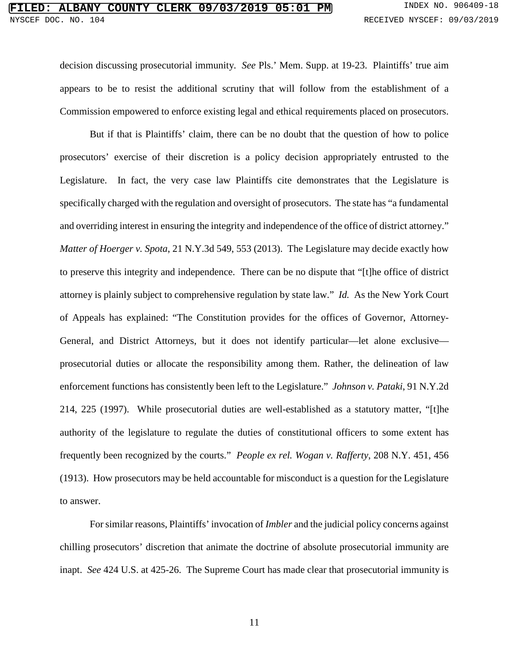decision discussing prosecutorial immunity. *See* Pls.' Mem. Supp. at 19-23. Plaintiffs' true aim appears to be to resist the additional scrutiny that will follow from the establishment of a Commission empowered to enforce existing legal and ethical requirements placed on prosecutors.

But if that is Plaintiffs' claim, there can be no doubt that the question of how to police prosecutors' exercise of their discretion is a policy decision appropriately entrusted to the Legislature. In fact, the very case law Plaintiffs cite demonstrates that the Legislature is specifically charged with the regulation and oversight of prosecutors. The state has "a fundamental and overriding interest in ensuring the integrity and independence of the office of district attorney." *Matter of Hoerger v. Spota*, 21 N.Y.3d 549, 553 (2013). The Legislature may decide exactly how to preserve this integrity and independence. There can be no dispute that "[t]he office of district attorney is plainly subject to comprehensive regulation by state law." *Id.* As the New York Court of Appeals has explained: "The Constitution provides for the offices of Governor, Attorney-General, and District Attorneys, but it does not identify particular—let alone exclusive prosecutorial duties or allocate the responsibility among them. Rather, the delineation of law enforcement functions has consistently been left to the Legislature." *Johnson v. Pataki*, 91 N.Y.2d 214, 225 (1997). While prosecutorial duties are well-established as a statutory matter, "[t]he authority of the legislature to regulate the duties of constitutional officers to some extent has frequently been recognized by the courts." *People ex rel. Wogan v. Rafferty*, 208 N.Y. 451, 456 (1913). How prosecutors may be held accountable for misconduct is a question for the Legislature to answer.

For similar reasons, Plaintiffs' invocation of *Imbler* and the judicial policy concerns against chilling prosecutors' discretion that animate the doctrine of absolute prosecutorial immunity are inapt. *See* 424 U.S. at 425-26. The Supreme Court has made clear that prosecutorial immunity is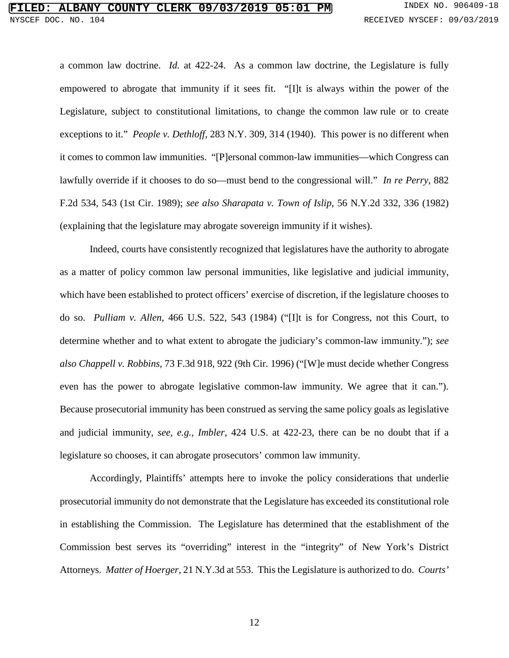#### **FILERE 09/03/2019 05:01 PM** INDEX NO. 906409-18 NYSCEF DOC. NO. 104 RECEIVED NYSCEF: 09/03/2019

a common law doctrine. *Id.* at 422-24. As a common law doctrine, the Legislature is fully empowered to abrogate that immunity if it sees fit. "[I]t is always within the power of the Legislature, subject to constitutional limitations, to change the common law rule or to create exceptions to it." *People v. Dethloff*, 283 N.Y. 309, 314 (1940). This power is no different when it comes to common law immunities. "[P]ersonal common-law immunities—which Congress can lawfully override if it chooses to do so—must bend to the congressional will." *In re Perry*, 882 F.2d 534, 543 (1st Cir. 1989); *see also Sharapata v. Town of Islip*, 56 N.Y.2d 332, 336 (1982) (explaining that the legislature may abrogate sovereign immunity if it wishes).

Indeed, courts have consistently recognized that legislatures have the authority to abrogate as a matter of policy common law personal immunities, like legislative and judicial immunity, which have been established to protect officers' exercise of discretion, if the legislature chooses to do so. *Pulliam v. Allen*, 466 U.S. 522, 543 (1984) ("[I]t is for Congress, not this Court, to determine whether and to what extent to abrogate the judiciary's common-law immunity."); *see also Chappell v. Robbins*, 73 F.3d 918, 922 (9th Cir. 1996) ("[W]e must decide whether Congress even has the power to abrogate legislative common-law immunity. We agree that it can."). Because prosecutorial immunity has been construed as serving the same policy goals as legislative and judicial immunity, *see, e.g.*, *Imbler*, 424 U.S. at 422-23, there can be no doubt that if a legislature so chooses, it can abrogate prosecutors' common law immunity.

Accordingly, Plaintiffs' attempts here to invoke the policy considerations that underlie prosecutorial immunity do not demonstrate that the Legislature has exceeded its constitutional role in establishing the Commission. The Legislature has determined that the establishment of the Commission best serves its "overriding" interest in the "integrity" of New York's District Attorneys. *Matter of Hoerger*, 21 N.Y.3d at 553. This the Legislature is authorized to do. *Courts'*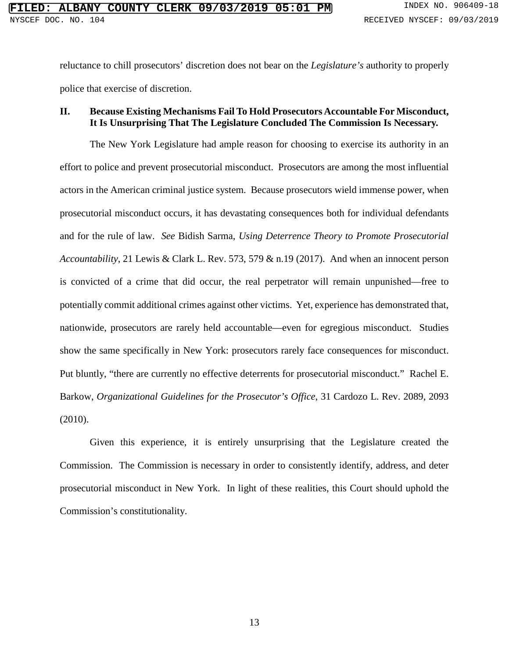reluctance to chill prosecutors' discretion does not bear on the *Legislature's* authority to properly police that exercise of discretion.

#### **II. Because Existing Mechanisms Fail To Hold Prosecutors Accountable For Misconduct, It Is Unsurprising That The Legislature Concluded The Commission Is Necessary.**

The New York Legislature had ample reason for choosing to exercise its authority in an effort to police and prevent prosecutorial misconduct. Prosecutors are among the most influential actors in the American criminal justice system. Because prosecutors wield immense power, when prosecutorial misconduct occurs, it has devastating consequences both for individual defendants and for the rule of law. *See* Bidish Sarma, *Using Deterrence Theory to Promote Prosecutorial Accountability*, 21 Lewis & Clark L. Rev. 573, 579 & n.19 (2017). And when an innocent person is convicted of a crime that did occur, the real perpetrator will remain unpunished—free to potentially commit additional crimes against other victims. Yet, experience has demonstrated that, nationwide, prosecutors are rarely held accountable—even for egregious misconduct. Studies show the same specifically in New York: prosecutors rarely face consequences for misconduct. Put bluntly, "there are currently no effective deterrents for prosecutorial misconduct." Rachel E. Barkow, *Organizational Guidelines for the Prosecutor's Office*, 31 Cardozo L. Rev. 2089, 2093 (2010).

Given this experience, it is entirely unsurprising that the Legislature created the Commission. The Commission is necessary in order to consistently identify, address, and deter prosecutorial misconduct in New York. In light of these realities, this Court should uphold the Commission's constitutionality.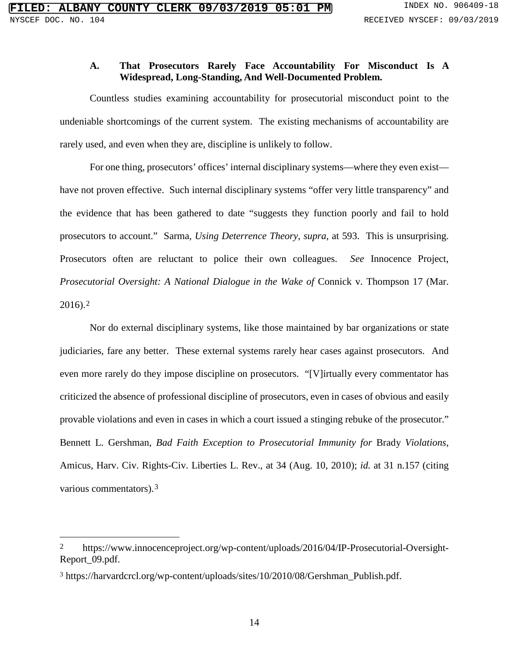#### **A. That Prosecutors Rarely Face Accountability For Misconduct Is A Widespread, Long-Standing, And Well-Documented Problem.**

Countless studies examining accountability for prosecutorial misconduct point to the undeniable shortcomings of the current system. The existing mechanisms of accountability are rarely used, and even when they are, discipline is unlikely to follow.

For one thing, prosecutors' offices' internal disciplinary systems—where they even exist have not proven effective. Such internal disciplinary systems "offer very little transparency" and the evidence that has been gathered to date "suggests they function poorly and fail to hold prosecutors to account." Sarma, *Using Deterrence Theory*, *supra*, at 593. This is unsurprising. Prosecutors often are reluctant to police their own colleagues. *See* Innocence Project, *Prosecutorial Oversight: A National Dialogue in the Wake of Connick v. Thompson 17 (Mar.* 2016).[2](#page-20-0)

Nor do external disciplinary systems, like those maintained by bar organizations or state judiciaries, fare any better. These external systems rarely hear cases against prosecutors. And even more rarely do they impose discipline on prosecutors. "[V]irtually every commentator has criticized the absence of professional discipline of prosecutors, even in cases of obvious and easily provable violations and even in cases in which a court issued a stinging rebuke of the prosecutor." Bennett L. Gershman, *Bad Faith Exception to Prosecutorial Immunity for* Brady *Violations*, Amicus, Harv. Civ. Rights-Civ. Liberties L. Rev., at 34 (Aug. 10, 2010); *id.* at 31 n.157 (citing various commentators).[3](#page-20-1)

<span id="page-20-0"></span> <sup>2</sup> https://www.innocenceproject.org/wp-content/uploads/2016/04/IP-Prosecutorial-Oversight-Report\_09.pdf.

<span id="page-20-1"></span><sup>3</sup> https://harvardcrcl.org/wp-content/uploads/sites/10/2010/08/Gershman\_Publish.pdf.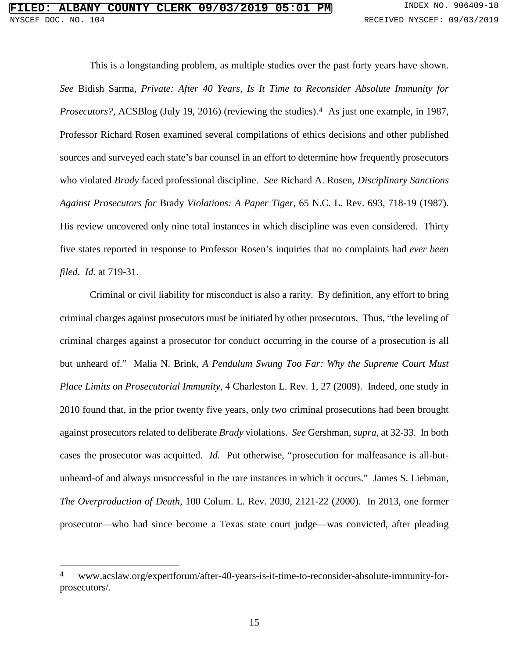This is a longstanding problem, as multiple studies over the past forty years have shown. *See* Bidish Sarma, *Private: After 40 Years, Is It Time to Reconsider Absolute Immunity for Prosecutors?*, ACSBlog (July 19, 2016) (reviewing the studies).<sup>[4](#page-21-0)</sup> As just one example, in 1987, Professor Richard Rosen examined several compilations of ethics decisions and other published sources and surveyed each state's bar counsel in an effort to determine how frequently prosecutors who violated *Brady* faced professional discipline. *See* Richard A. Rosen, *Disciplinary Sanctions Against Prosecutors for* Brady *Violations: A Paper Tiger*, 65 N.C. L. Rev. 693, 718-19 (1987). His review uncovered only nine total instances in which discipline was even considered. Thirty five states reported in response to Professor Rosen's inquiries that no complaints had *ever been filed*. *Id.* at 719-31.

Criminal or civil liability for misconduct is also a rarity. By definition, any effort to bring criminal charges against prosecutors must be initiated by other prosecutors. Thus, "the leveling of criminal charges against a prosecutor for conduct occurring in the course of a prosecution is all but unheard of." Malia N. Brink, *A Pendulum Swung Too Far: Why the Supreme Court Must Place Limits on Prosecutorial Immunity*, 4 Charleston L. Rev. 1, 27 (2009). Indeed, one study in 2010 found that, in the prior twenty five years, only two criminal prosecutions had been brought against prosecutors related to deliberate *Brady* violations. *See* Gershman, *supra*, at 32-33. In both cases the prosecutor was acquitted. *Id.* Put otherwise, "prosecution for malfeasance is all-butunheard-of and always unsuccessful in the rare instances in which it occurs." James S. Liebman, *The Overproduction of Death*, 100 Colum. L. Rev. 2030, 2121-22 (2000). In 2013, one former prosecutor—who had since become a Texas state court judge—was convicted, after pleading

<span id="page-21-0"></span> <sup>4</sup> www.acslaw.org/expertforum/after-40-years-is-it-time-to-reconsider-absolute-immunity-forprosecutors/.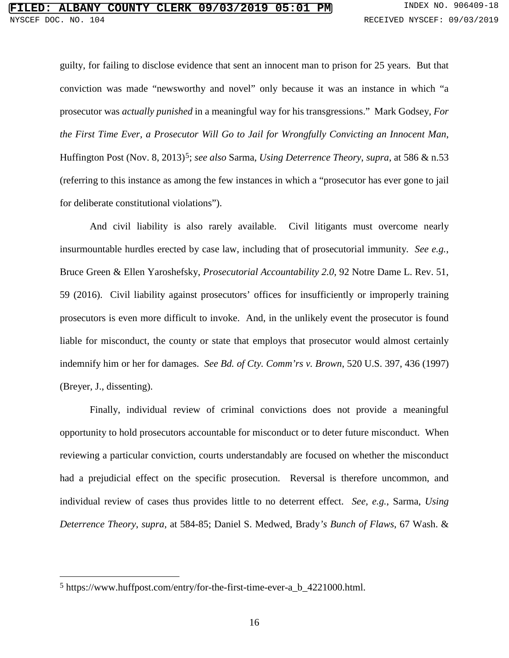guilty, for failing to disclose evidence that sent an innocent man to prison for 25 years. But that conviction was made "newsworthy and novel" only because it was an instance in which "a prosecutor was *actually punished* in a meaningful way for his transgressions." Mark Godsey, *For the First Time Ever, a Prosecutor Will Go to Jail for Wrongfully Convicting an Innocent Man*, Huffington Post (Nov. 8, 2013)[5;](#page-22-0) *see also* Sarma, *Using Deterrence Theory*, *supra*, at 586 & n.53 (referring to this instance as among the few instances in which a "prosecutor has ever gone to jail for deliberate constitutional violations").

And civil liability is also rarely available. Civil litigants must overcome nearly insurmountable hurdles erected by case law, including that of prosecutorial immunity. *See e.g.*, Bruce Green & Ellen Yaroshefsky, *Prosecutorial Accountability 2.0*, 92 Notre Dame L. Rev. 51, 59 (2016). Civil liability against prosecutors' offices for insufficiently or improperly training prosecutors is even more difficult to invoke. And, in the unlikely event the prosecutor is found liable for misconduct, the county or state that employs that prosecutor would almost certainly indemnify him or her for damages. *See Bd. of Cty. Comm'rs v. Brown*, 520 U.S. 397, 436 (1997) (Breyer, J., dissenting).

Finally, individual review of criminal convictions does not provide a meaningful opportunity to hold prosecutors accountable for misconduct or to deter future misconduct. When reviewing a particular conviction, courts understandably are focused on whether the misconduct had a prejudicial effect on the specific prosecution. Reversal is therefore uncommon, and individual review of cases thus provides little to no deterrent effect. *See, e.g.*, Sarma, *Using Deterrence Theory*, *supra*, at 584-85; Daniel S. Medwed, Brady*'s Bunch of Flaws*, 67 Wash. &

<span id="page-22-0"></span> <sup>5</sup> https://www.huffpost.com/entry/for-the-first-time-ever-a\_b\_4221000.html.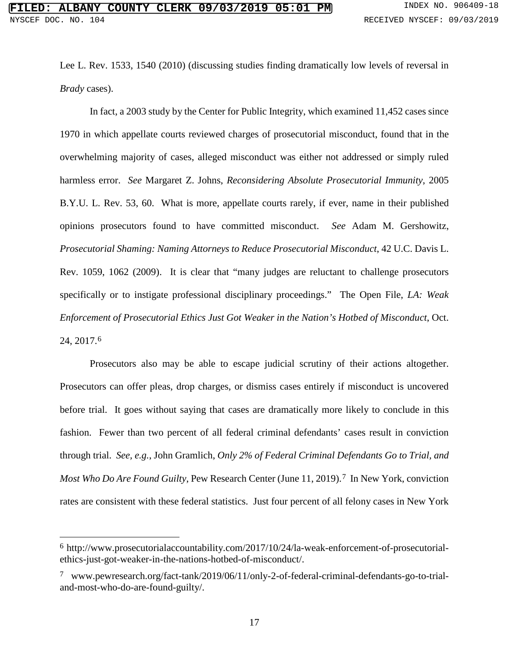Lee L. Rev. 1533, 1540 (2010) (discussing studies finding dramatically low levels of reversal in *Brady* cases).

In fact, a 2003 study by the Center for Public Integrity, which examined 11,452 cases since 1970 in which appellate courts reviewed charges of prosecutorial misconduct, found that in the overwhelming majority of cases, alleged misconduct was either not addressed or simply ruled harmless error. *See* Margaret Z. Johns, *Reconsidering Absolute Prosecutorial Immunity*, 2005 B.Y.U. L. Rev. 53, 60. What is more, appellate courts rarely, if ever, name in their published opinions prosecutors found to have committed misconduct. *See* Adam M. Gershowitz, *Prosecutorial Shaming: Naming Attorneys to Reduce Prosecutorial Misconduct*, 42 U.C. Davis L. Rev. 1059, 1062 (2009). It is clear that "many judges are reluctant to challenge prosecutors specifically or to instigate professional disciplinary proceedings." The Open File, *LA: Weak Enforcement of Prosecutorial Ethics Just Got Weaker in the Nation's Hotbed of Misconduct*, Oct. 24, 2017[.6](#page-23-0)

Prosecutors also may be able to escape judicial scrutiny of their actions altogether. Prosecutors can offer pleas, drop charges, or dismiss cases entirely if misconduct is uncovered before trial. It goes without saying that cases are dramatically more likely to conclude in this fashion. Fewer than two percent of all federal criminal defendants' cases result in conviction through trial. *See, e.g.*, John Gramlich, *Only 2% of Federal Criminal Defendants Go to Trial, and Most Who Do Are Found Guilty*, Pew Research Center (June 11, 2019).[7](#page-23-1) In New York, conviction rates are consistent with these federal statistics. Just four percent of all felony cases in New York

<span id="page-23-0"></span> <sup>6</sup> http://www.prosecutorialaccountability.com/2017/10/24/la-weak-enforcement-of-prosecutorialethics-just-got-weaker-in-the-nations-hotbed-of-misconduct/.

<span id="page-23-1"></span><sup>7</sup> www.pewresearch.org/fact-tank/2019/06/11/only-2-of-federal-criminal-defendants-go-to-trialand-most-who-do-are-found-guilty/.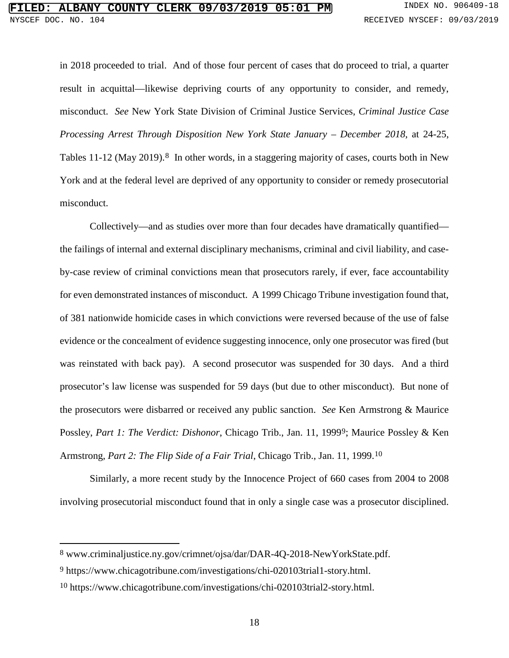in 2018 proceeded to trial. And of those four percent of cases that do proceed to trial, a quarter result in acquittal—likewise depriving courts of any opportunity to consider, and remedy, misconduct. *See* New York State Division of Criminal Justice Services, *Criminal Justice Case Processing Arrest Through Disposition New York State January – December 2018*, at 24-25, Tables 11-12 (May 2019).<sup>[8](#page-24-0)</sup> In other words, in a staggering majority of cases, courts both in New York and at the federal level are deprived of any opportunity to consider or remedy prosecutorial misconduct.

Collectively—and as studies over more than four decades have dramatically quantified the failings of internal and external disciplinary mechanisms, criminal and civil liability, and caseby-case review of criminal convictions mean that prosecutors rarely, if ever, face accountability for even demonstrated instances of misconduct. A 1999 Chicago Tribune investigation found that, of 381 nationwide homicide cases in which convictions were reversed because of the use of false evidence or the concealment of evidence suggesting innocence, only one prosecutor was fired (but was reinstated with back pay). A second prosecutor was suspended for 30 days. And a third prosecutor's law license was suspended for 59 days (but due to other misconduct). But none of the prosecutors were disbarred or received any public sanction. *See* Ken Armstrong & Maurice Possley, *Part 1: The Verdict: Dishonor*, Chicago Trib., Jan. 11, 1999[9;](#page-24-1) Maurice Possley & Ken Armstrong, *Part 2: The Flip Side of a Fair Trial*, Chicago Trib., Jan. 11, 1999.[10](#page-24-2)

Similarly, a more recent study by the Innocence Project of 660 cases from 2004 to 2008 involving prosecutorial misconduct found that in only a single case was a prosecutor disciplined.

<span id="page-24-0"></span> <sup>8</sup> www.criminaljustice.ny.gov/crimnet/ojsa/dar/DAR-4Q-2018-NewYorkState.pdf.

<span id="page-24-1"></span><sup>9</sup> https://www.chicagotribune.com/investigations/chi-020103trial1-story.html.

<span id="page-24-2"></span><sup>10</sup> https://www.chicagotribune.com/investigations/chi-020103trial2-story.html.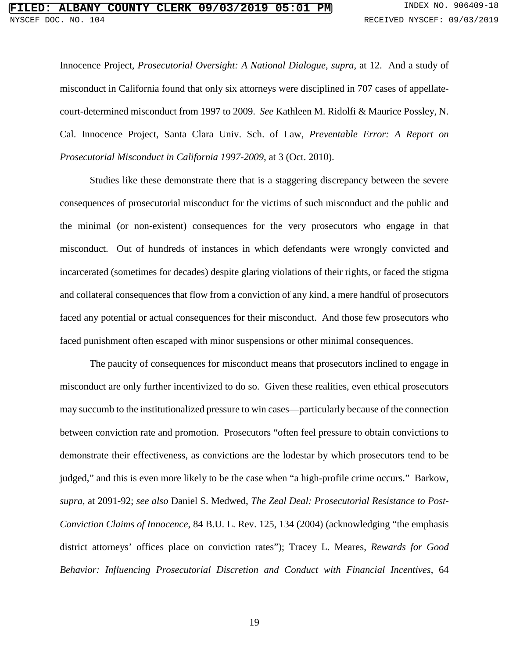Innocence Project, *Prosecutorial Oversight: A National Dialogue*, *supra*, at 12. And a study of misconduct in California found that only six attorneys were disciplined in 707 cases of appellatecourt-determined misconduct from 1997 to 2009. *See* Kathleen M. Ridolfi & Maurice Possley, N. Cal. Innocence Project, Santa Clara Univ. Sch. of Law, *Preventable Error: A Report on Prosecutorial Misconduct in California 1997-2009*, at 3 (Oct. 2010).

Studies like these demonstrate there that is a staggering discrepancy between the severe consequences of prosecutorial misconduct for the victims of such misconduct and the public and the minimal (or non-existent) consequences for the very prosecutors who engage in that misconduct. Out of hundreds of instances in which defendants were wrongly convicted and incarcerated (sometimes for decades) despite glaring violations of their rights, or faced the stigma and collateral consequences that flow from a conviction of any kind, a mere handful of prosecutors faced any potential or actual consequences for their misconduct. And those few prosecutors who faced punishment often escaped with minor suspensions or other minimal consequences.

The paucity of consequences for misconduct means that prosecutors inclined to engage in misconduct are only further incentivized to do so. Given these realities, even ethical prosecutors may succumb to the institutionalized pressure to win cases—particularly because of the connection between conviction rate and promotion. Prosecutors "often feel pressure to obtain convictions to demonstrate their effectiveness, as convictions are the lodestar by which prosecutors tend to be judged," and this is even more likely to be the case when "a high-profile crime occurs." Barkow, *supra*, at 2091-92; *see also* Daniel S. Medwed, *The Zeal Deal: Prosecutorial Resistance to Post-Conviction Claims of Innocence*, 84 B.U. L. Rev. 125, 134 (2004) (acknowledging "the emphasis district attorneys' offices place on conviction rates"); Tracey L. Meares, *Rewards for Good Behavior: Influencing Prosecutorial Discretion and Conduct with Financial Incentives*, 64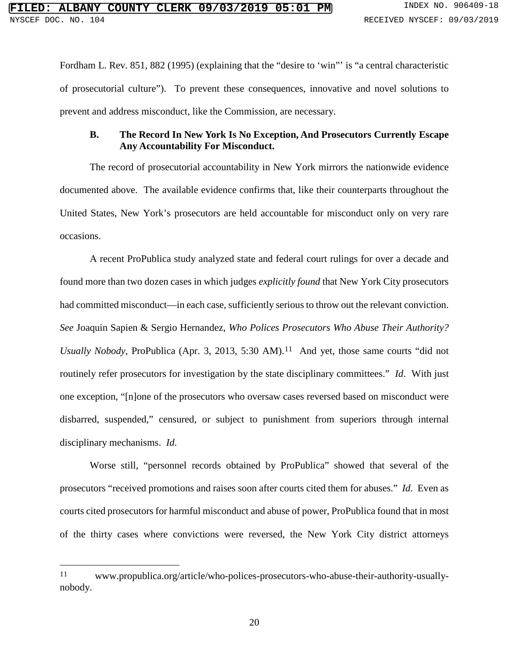Fordham L. Rev. 851, 882 (1995) (explaining that the "desire to 'win" is "a central characteristic of prosecutorial culture"). To prevent these consequences, innovative and novel solutions to prevent and address misconduct, like the Commission, are necessary.

#### **B. The Record In New York Is No Exception, And Prosecutors Currently Escape Any Accountability For Misconduct.**

The record of prosecutorial accountability in New York mirrors the nationwide evidence documented above. The available evidence confirms that, like their counterparts throughout the United States, New York's prosecutors are held accountable for misconduct only on very rare occasions.

A recent ProPublica study analyzed state and federal court rulings for over a decade and found more than two dozen cases in which judges *explicitly found* that New York City prosecutors had committed misconduct—in each case, sufficiently serious to throw out the relevant conviction. *See* Joaquin Sapien & Sergio Hernandez, *Who Polices Prosecutors Who Abuse Their Authority? Usually Nobody*, ProPublica (Apr. 3, 2013, 5:30 AM).<sup>11</sup> And yet, those same courts "did not routinely refer prosecutors for investigation by the state disciplinary committees." *Id*. With just one exception, "[n]one of the prosecutors who oversaw cases reversed based on misconduct were disbarred, suspended," censured, or subject to punishment from superiors through internal disciplinary mechanisms. *Id*.

Worse still, "personnel records obtained by ProPublica" showed that several of the prosecutors "received promotions and raises soon after courts cited them for abuses." *Id*. Even as courts cited prosecutors for harmful misconduct and abuse of power, ProPublica found that in most of the thirty cases where convictions were reversed, the New York City district attorneys

<span id="page-26-0"></span> <sup>11</sup> www.propublica.org/article/who-polices-prosecutors-who-abuse-their-authority-usuallynobody.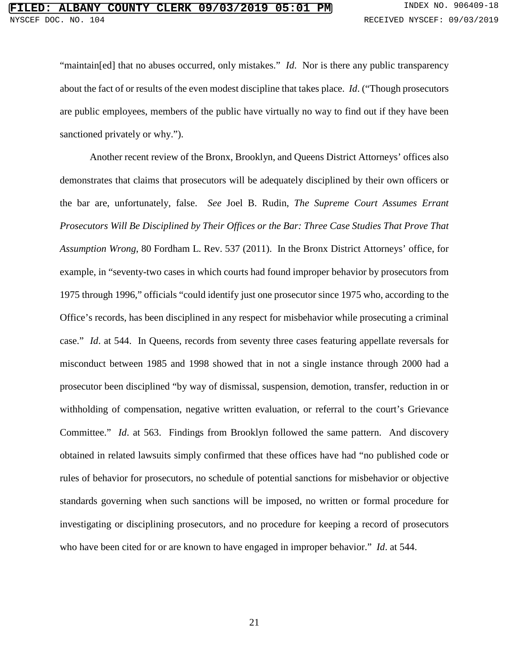"maintain[ed] that no abuses occurred, only mistakes." *Id*. Nor is there any public transparency about the fact of or results of the even modest discipline that takes place. *Id*. ("Though prosecutors are public employees, members of the public have virtually no way to find out if they have been sanctioned privately or why.").

Another recent review of the Bronx, Brooklyn, and Queens District Attorneys' offices also demonstrates that claims that prosecutors will be adequately disciplined by their own officers or the bar are, unfortunately, false. *See* Joel B. Rudin, *The Supreme Court Assumes Errant Prosecutors Will Be Disciplined by Their Offices or the Bar: Three Case Studies That Prove That Assumption Wrong*, 80 Fordham L. Rev. 537 (2011). In the Bronx District Attorneys' office, for example, in "seventy-two cases in which courts had found improper behavior by prosecutors from 1975 through 1996," officials "could identify just one prosecutor since 1975 who, according to the Office's records, has been disciplined in any respect for misbehavior while prosecuting a criminal case." *Id*. at 544. In Queens, records from seventy three cases featuring appellate reversals for misconduct between 1985 and 1998 showed that in not a single instance through 2000 had a prosecutor been disciplined "by way of dismissal, suspension, demotion, transfer, reduction in or withholding of compensation, negative written evaluation, or referral to the court's Grievance Committee." *Id*. at 563. Findings from Brooklyn followed the same pattern. And discovery obtained in related lawsuits simply confirmed that these offices have had "no published code or rules of behavior for prosecutors, no schedule of potential sanctions for misbehavior or objective standards governing when such sanctions will be imposed, no written or formal procedure for investigating or disciplining prosecutors, and no procedure for keeping a record of prosecutors who have been cited for or are known to have engaged in improper behavior." *Id*. at 544.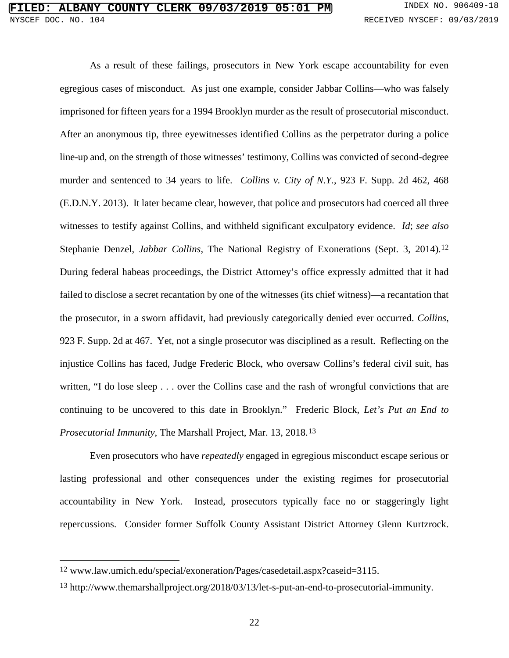As a result of these failings, prosecutors in New York escape accountability for even egregious cases of misconduct. As just one example, consider Jabbar Collins—who was falsely imprisoned for fifteen years for a 1994 Brooklyn murder as the result of prosecutorial misconduct. After an anonymous tip, three eyewitnesses identified Collins as the perpetrator during a police line-up and, on the strength of those witnesses' testimony, Collins was convicted of second-degree murder and sentenced to 34 years to life. *Collins v. City of N.Y.*, 923 F. Supp. 2d 462, 468 (E.D.N.Y. 2013). It later became clear, however, that police and prosecutors had coerced all three witnesses to testify against Collins, and withheld significant exculpatory evidence. *Id*; *see also*  Stephanie Denzel, *Jabbar Collins*, The National Registry of Exonerations (Sept. 3, 2014).[12](#page-28-0) During federal habeas proceedings, the District Attorney's office expressly admitted that it had failed to disclose a secret recantation by one of the witnesses (its chief witness)—a recantation that the prosecutor, in a sworn affidavit, had previously categorically denied ever occurred. *Collins*, 923 F. Supp. 2d at 467. Yet, not a single prosecutor was disciplined as a result. Reflecting on the injustice Collins has faced, Judge Frederic Block, who oversaw Collins's federal civil suit, has written, "I do lose sleep . . . over the Collins case and the rash of wrongful convictions that are continuing to be uncovered to this date in Brooklyn." Frederic Block, *Let's Put an End to Prosecutorial Immunity*, The Marshall Project, Mar. 13, 2018.[13](#page-28-1)

Even prosecutors who have *repeatedly* engaged in egregious misconduct escape serious or lasting professional and other consequences under the existing regimes for prosecutorial accountability in New York. Instead, prosecutors typically face no or staggeringly light repercussions. Consider former Suffolk County Assistant District Attorney Glenn Kurtzrock.

<span id="page-28-0"></span> <sup>12</sup> www.law.umich.edu/special/exoneration/Pages/casedetail.aspx?caseid=3115.

<span id="page-28-1"></span><sup>13</sup> http://www.themarshallproject.org/2018/03/13/let-s-put-an-end-to-prosecutorial-immunity.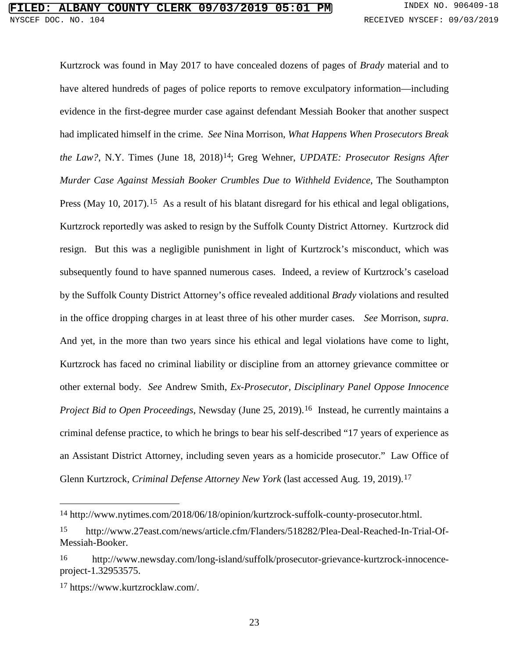Kurtzrock was found in May 2017 to have concealed dozens of pages of *Brady* material and to have altered hundreds of pages of police reports to remove exculpatory information—including evidence in the first-degree murder case against defendant Messiah Booker that another suspect had implicated himself in the crime. *See* Nina Morrison, *What Happens When Prosecutors Break the Law?*, N.Y. Times (June 18, 2018)[14;](#page-29-0) Greg Wehner, *UPDATE: Prosecutor Resigns After Murder Case Against Messiah Booker Crumbles Due to Withheld Evidence*, The Southampton Press (May 10, 2017).<sup>[15](#page-29-1)</sup> As a result of his blatant disregard for his ethical and legal obligations, Kurtzrock reportedly was asked to resign by the Suffolk County District Attorney. Kurtzrock did resign. But this was a negligible punishment in light of Kurtzrock's misconduct, which was subsequently found to have spanned numerous cases. Indeed, a review of Kurtzrock's caseload by the Suffolk County District Attorney's office revealed additional *Brady* violations and resulted in the office dropping charges in at least three of his other murder cases. *See* Morrison, *supra*. And yet, in the more than two years since his ethical and legal violations have come to light, Kurtzrock has faced no criminal liability or discipline from an attorney grievance committee or other external body. *See* Andrew Smith, *Ex-Prosecutor, Disciplinary Panel Oppose Innocence Project Bid to Open Proceedings*, Newsday (June 25, 2019).<sup>16</sup> Instead, he currently maintains a criminal defense practice, to which he brings to bear his self-described "17 years of experience as an Assistant District Attorney, including seven years as a homicide prosecutor." Law Office of Glenn Kurtzrock, *Criminal Defense Attorney New York* (last accessed Aug. 19, 2019).[17](#page-29-3)

<span id="page-29-0"></span> <sup>14</sup> http://www.nytimes.com/2018/06/18/opinion/kurtzrock-suffolk-county-prosecutor.html.

<span id="page-29-1"></span><sup>15</sup> http://www.27east.com/news/article.cfm/Flanders/518282/Plea-Deal-Reached-In-Trial-Of-Messiah-Booker.

<span id="page-29-2"></span><sup>16</sup> http://www.newsday.com/long-island/suffolk/prosecutor-grievance-kurtzrock-innocenceproject-1.32953575.

<span id="page-29-3"></span><sup>17</sup> https://www.kurtzrocklaw.com/.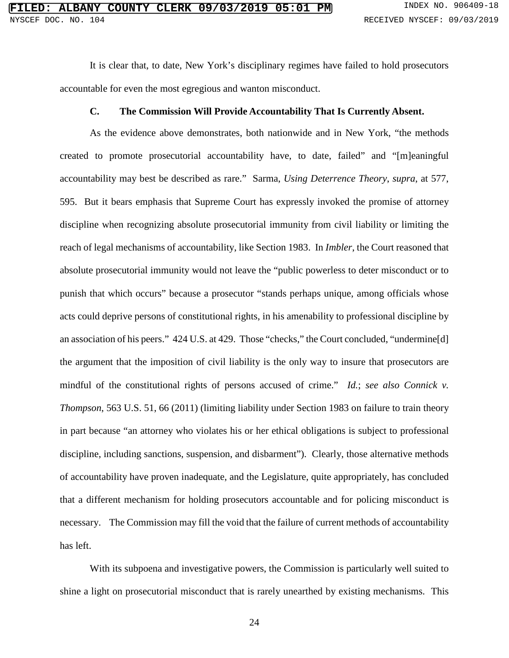It is clear that, to date, New York's disciplinary regimes have failed to hold prosecutors accountable for even the most egregious and wanton misconduct.

#### **C. The Commission Will Provide Accountability That Is Currently Absent.**

As the evidence above demonstrates, both nationwide and in New York, "the methods created to promote prosecutorial accountability have, to date, failed" and "[m]eaningful accountability may best be described as rare." Sarma, *Using Deterrence Theory*, *supra*, at 577, 595. But it bears emphasis that Supreme Court has expressly invoked the promise of attorney discipline when recognizing absolute prosecutorial immunity from civil liability or limiting the reach of legal mechanisms of accountability, like Section 1983. In *Imbler*, the Court reasoned that absolute prosecutorial immunity would not leave the "public powerless to deter misconduct or to punish that which occurs" because a prosecutor "stands perhaps unique, among officials whose acts could deprive persons of constitutional rights, in his amenability to professional discipline by an association of his peers." 424 U.S. at 429. Those "checks," the Court concluded, "undermine[d] the argument that the imposition of civil liability is the only way to insure that prosecutors are mindful of the constitutional rights of persons accused of crime." *Id.*; *see also Connick v. Thompson*, 563 U.S. 51, 66 (2011) (limiting liability under Section 1983 on failure to train theory in part because "an attorney who violates his or her ethical obligations is subject to professional discipline, including sanctions, suspension, and disbarment"). Clearly, those alternative methods of accountability have proven inadequate, and the Legislature, quite appropriately, has concluded that a different mechanism for holding prosecutors accountable and for policing misconduct is necessary. The Commission may fill the void that the failure of current methods of accountability has left.

With its subpoena and investigative powers, the Commission is particularly well suited to shine a light on prosecutorial misconduct that is rarely unearthed by existing mechanisms. This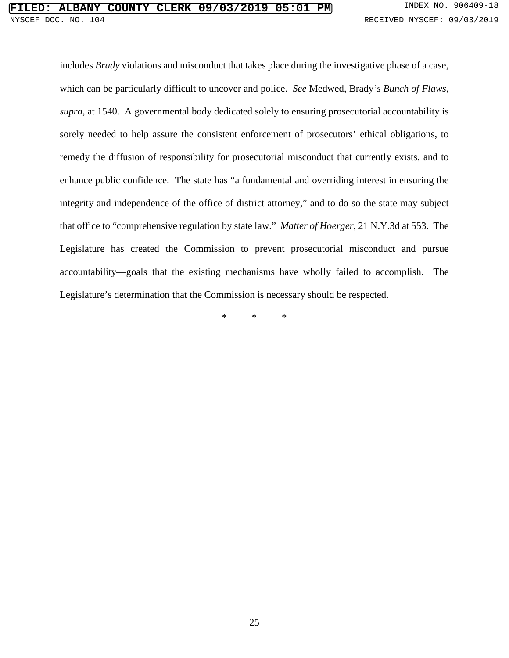includes *Brady* violations and misconduct that takes place during the investigative phase of a case, which can be particularly difficult to uncover and police. *See* Medwed, Brady*'s Bunch of Flaws*, *supra*, at 1540. A governmental body dedicated solely to ensuring prosecutorial accountability is sorely needed to help assure the consistent enforcement of prosecutors' ethical obligations, to remedy the diffusion of responsibility for prosecutorial misconduct that currently exists, and to enhance public confidence. The state has "a fundamental and overriding interest in ensuring the integrity and independence of the office of district attorney," and to do so the state may subject that office to "comprehensive regulation by state law." *Matter of Hoerger*, 21 N.Y.3d at 553. The Legislature has created the Commission to prevent prosecutorial misconduct and pursue accountability—goals that the existing mechanisms have wholly failed to accomplish. The Legislature's determination that the Commission is necessary should be respected.

\* \* \*